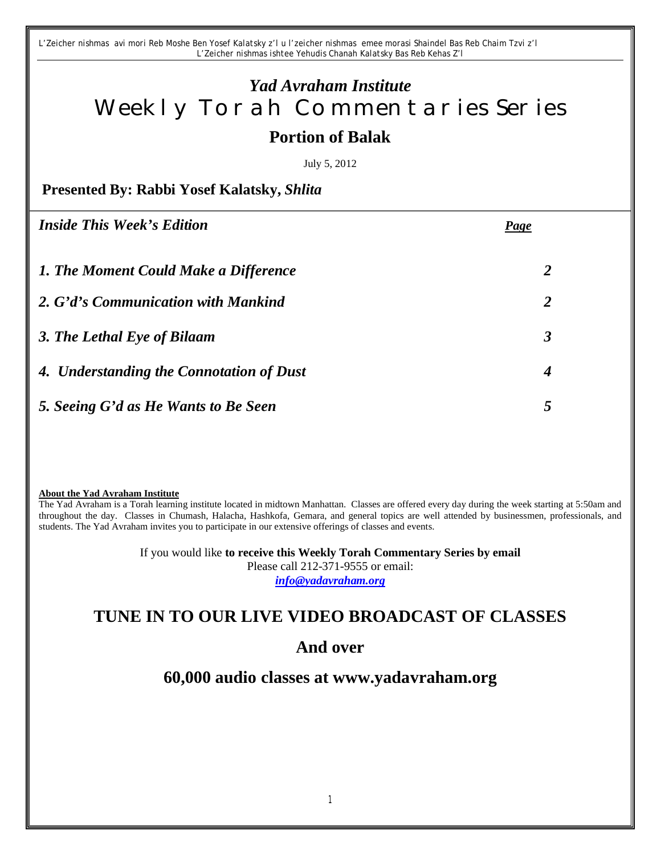*L'Zeicher nishmas avi mori Reb Moshe Ben Yosef Kalatsky z'l u l'zeicher nishmas emee morasi Shaindel Bas Reb Chaim Tzvi z'l L'Zeicher nishmas ishtee Yehudis Chanah Kalatsky Bas Reb Kehas Z'l*

# *Yad Avraham Institute* Weekly Torah Commentaries Series **Portion of Balak**

July 5, 2012

**Presented By: Rabbi Yosef Kalatsky,** *Shlita*

| <b>Inside This Week's Edition</b>        | <u>Page</u> |
|------------------------------------------|-------------|
| 1. The Moment Could Make a Difference    | 2           |
| 2. G'd's Communication with Mankind      | 2           |
| 3. The Lethal Eye of Bilaam              | 3           |
| 4. Understanding the Connotation of Dust | 4           |
| 5. Seeing G'd as He Wants to Be Seen     | 5           |

#### **About the Yad Avraham Institute**

The Yad Avraham is a Torah learning institute located in midtown Manhattan. Classes are offered every day during the week starting at 5:50am and throughout the day. Classes in Chumash, Halacha, Hashkofa, Gemara, and general topics are well attended by businessmen, professionals, and students. The Yad Avraham invites you to participate in our extensive offerings of classes and events.

> If you would like **to receive this Weekly Torah Commentary Series by email** Please call 212-371-9555 or email:

*info@yadavraham.org*

# **TUNE IN TO OUR LIVE VIDEO BROADCAST OF CLASSES**

#### **And over**

## **60,000 audio classes at www.yadavraham.org**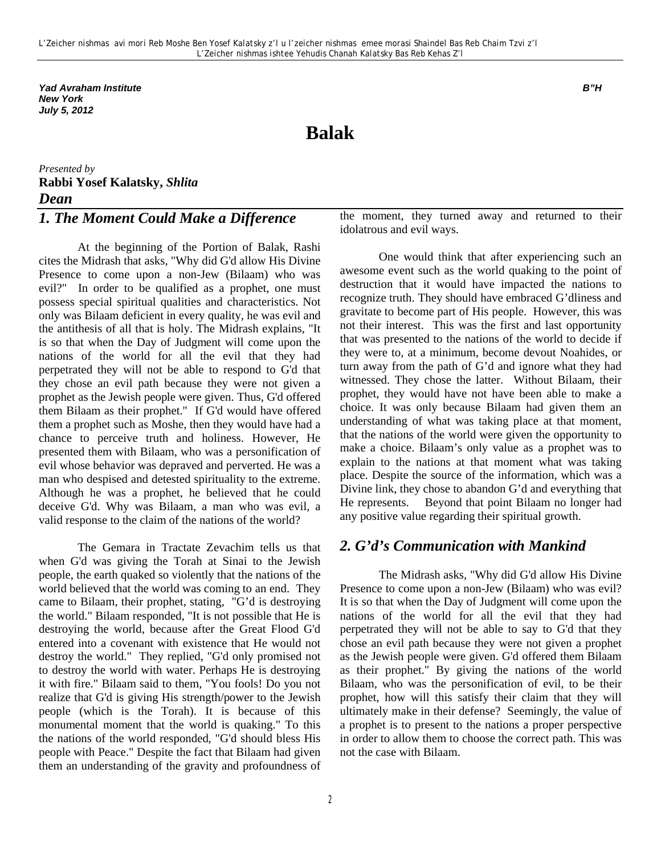*Yad Avraham Institute B"H New York July 5, 2012*

# **Balak**

*Presented by* **Rabbi Yosef Kalatsky,** *Shlita Dean* 

### *1. The Moment Could Make a Difference*

At the beginning of the Portion of Balak, Rashi cites the Midrash that asks, "Why did G'd allow His Divine Presence to come upon a non-Jew (Bilaam) who was evil?" In order to be qualified as a prophet, one must possess special spiritual qualities and characteristics. Not only was Bilaam deficient in every quality, he was evil and the antithesis of all that is holy. The Midrash explains, "It is so that when the Day of Judgment will come upon the nations of the world for all the evil that they had perpetrated they will not be able to respond to G'd that they chose an evil path because they were not given a prophet as the Jewish people were given. Thus, G'd offered them Bilaam as their prophet." If G'd would have offered them a prophet such as Moshe, then they would have had a chance to perceive truth and holiness. However, He presented them with Bilaam, who was a personification of evil whose behavior was depraved and perverted. He was a man who despised and detested spirituality to the extreme. Although he was a prophet, he believed that he could deceive G'd. Why was Bilaam, a man who was evil, a valid response to the claim of the nations of the world?

The Gemara in Tractate Zevachim tells us that when G'd was giving the Torah at Sinai to the Jewish people, the earth quaked so violently that the nations of the world believed that the world was coming to an end. They came to Bilaam, their prophet, stating, "G'd is destroying the world." Bilaam responded, "It is not possible that He is destroying the world, because after the Great Flood G'd entered into a covenant with existence that He would not destroy the world." They replied, "G'd only promised not to destroy the world with water. Perhaps He is destroying it with fire." Bilaam said to them, "You fools! Do you not realize that G'd is giving His strength/power to the Jewish people (which is the Torah). It is because of this monumental moment that the world is quaking." To this the nations of the world responded, "G'd should bless His people with Peace." Despite the fact that Bilaam had given them an understanding of the gravity and profoundness of

2

the moment, they turned away and returned to their idolatrous and evil ways.

One would think that after experiencing such an awesome event such as the world quaking to the point of destruction that it would have impacted the nations to recognize truth. They should have embraced G'dliness and gravitate to become part of His people. However, this was not their interest. This was the first and last opportunity that was presented to the nations of the world to decide if they were to, at a minimum, become devout Noahides, or turn away from the path of G'd and ignore what they had witnessed. They chose the latter. Without Bilaam, their prophet, they would have not have been able to make a choice. It was only because Bilaam had given them an understanding of what was taking place at that moment, that the nations of the world were given the opportunity to make a choice. Bilaam's only value as a prophet was to explain to the nations at that moment what was taking place. Despite the source of the information, which was a Divine link, they chose to abandon G'd and everything that He represents. Beyond that point Bilaam no longer had any positive value regarding their spiritual growth.

#### *2. G'd's Communication with Mankind*

The Midrash asks, "Why did G'd allow His Divine Presence to come upon a non-Jew (Bilaam) who was evil? It is so that when the Day of Judgment will come upon the nations of the world for all the evil that they had perpetrated they will not be able to say to G'd that they chose an evil path because they were not given a prophet as the Jewish people were given. G'd offered them Bilaam as their prophet." By giving the nations of the world Bilaam, who was the personification of evil, to be their prophet, how will this satisfy their claim that they will ultimately make in their defense? Seemingly, the value of a prophet is to present to the nations a proper perspective in order to allow them to choose the correct path. This was not the case with Bilaam.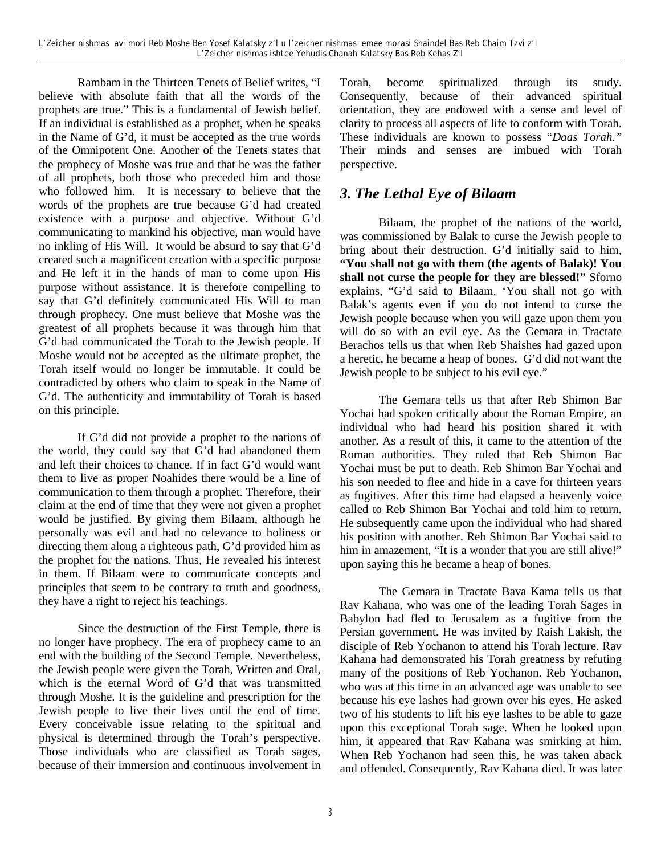Rambam in the Thirteen Tenets of Belief writes, "I believe with absolute faith that all the words of the prophets are true." This is a fundamental of Jewish belief. If an individual is established as a prophet, when he speaks in the Name of G'd, it must be accepted as the true words of the Omnipotent One. Another of the Tenets states that the prophecy of Moshe was true and that he was the father of all prophets, both those who preceded him and those who followed him. It is necessary to believe that the words of the prophets are true because G'd had created existence with a purpose and objective. Without G'd communicating to mankind his objective, man would have no inkling of His Will. It would be absurd to say that G'd created such a magnificent creation with a specific purpose and He left it in the hands of man to come upon His purpose without assistance. It is therefore compelling to say that G'd definitely communicated His Will to man through prophecy. One must believe that Moshe was the greatest of all prophets because it was through him that G'd had communicated the Torah to the Jewish people. If Moshe would not be accepted as the ultimate prophet, the Torah itself would no longer be immutable. It could be contradicted by others who claim to speak in the Name of G'd. The authenticity and immutability of Torah is based on this principle.

If G'd did not provide a prophet to the nations of the world, they could say that G'd had abandoned them and left their choices to chance. If in fact G'd would want them to live as proper Noahides there would be a line of communication to them through a prophet. Therefore, their claim at the end of time that they were not given a prophet would be justified. By giving them Bilaam, although he personally was evil and had no relevance to holiness or directing them along a righteous path, G'd provided him as the prophet for the nations. Thus, He revealed his interest in them. If Bilaam were to communicate concepts and principles that seem to be contrary to truth and goodness, they have a right to reject his teachings.

Since the destruction of the First Temple, there is no longer have prophecy. The era of prophecy came to an end with the building of the Second Temple. Nevertheless, the Jewish people were given the Torah, Written and Oral, which is the eternal Word of G'd that was transmitted through Moshe. It is the guideline and prescription for the Jewish people to live their lives until the end of time. Every conceivable issue relating to the spiritual and physical is determined through the Torah's perspective. Those individuals who are classified as Torah sages, because of their immersion and continuous involvement in

Torah, become spiritualized through its study. Consequently, because of their advanced spiritual orientation, they are endowed with a sense and level of clarity to process all aspects of life to conform with Torah. These individuals are known to possess "*Daas Torah."* Their minds and senses are imbued with Torah perspective.

### *3. The Lethal Eye of Bilaam*

Bilaam, the prophet of the nations of the world, was commissioned by Balak to curse the Jewish people to bring about their destruction. G'd initially said to him, **"You shall not go with them (the agents of Balak)! You shall not curse the people for they are blessed!"** Sforno explains, "G'd said to Bilaam, 'You shall not go with Balak's agents even if you do not intend to curse the Jewish people because when you will gaze upon them you will do so with an evil eye. As the Gemara in Tractate Berachos tells us that when Reb Shaishes had gazed upon a heretic, he became a heap of bones. G'd did not want the Jewish people to be subject to his evil eye."

The Gemara tells us that after Reb Shimon Bar Yochai had spoken critically about the Roman Empire, an individual who had heard his position shared it with another. As a result of this, it came to the attention of the Roman authorities. They ruled that Reb Shimon Bar Yochai must be put to death. Reb Shimon Bar Yochai and his son needed to flee and hide in a cave for thirteen years as fugitives. After this time had elapsed a heavenly voice called to Reb Shimon Bar Yochai and told him to return. He subsequently came upon the individual who had shared his position with another. Reb Shimon Bar Yochai said to him in amazement, "It is a wonder that you are still alive!" upon saying this he became a heap of bones.

The Gemara in Tractate Bava Kama tells us that Rav Kahana, who was one of the leading Torah Sages in Babylon had fled to Jerusalem as a fugitive from the Persian government. He was invited by Raish Lakish, the disciple of Reb Yochanon to attend his Torah lecture. Rav Kahana had demonstrated his Torah greatness by refuting many of the positions of Reb Yochanon. Reb Yochanon, who was at this time in an advanced age was unable to see because his eye lashes had grown over his eyes. He asked two of his students to lift his eye lashes to be able to gaze upon this exceptional Torah sage. When he looked upon him, it appeared that Rav Kahana was smirking at him. When Reb Yochanon had seen this, he was taken aback and offended. Consequently, Rav Kahana died. It was later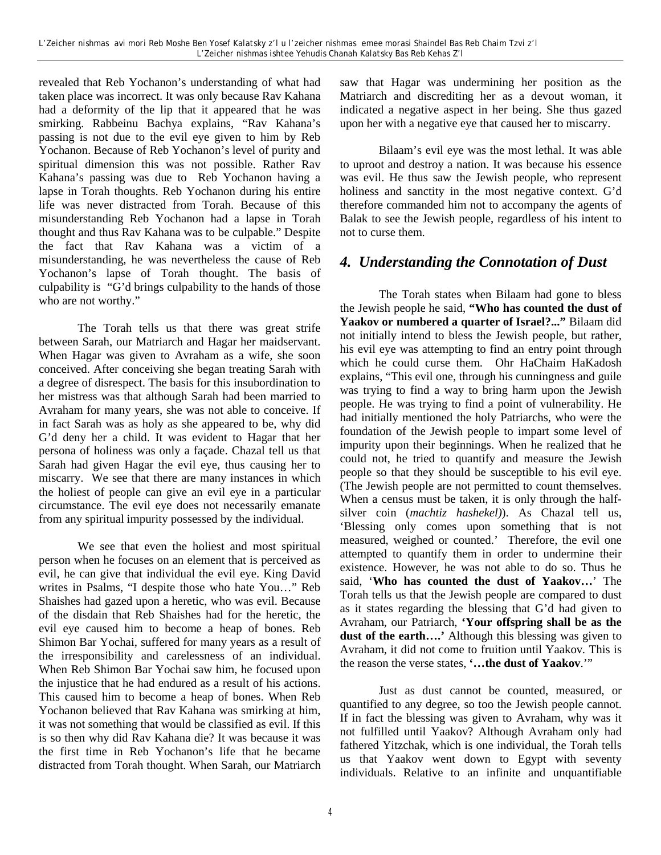revealed that Reb Yochanon's understanding of what had taken place was incorrect. It was only because Rav Kahana had a deformity of the lip that it appeared that he was smirking. Rabbeinu Bachya explains, "Rav Kahana's passing is not due to the evil eye given to him by Reb Yochanon. Because of Reb Yochanon's level of purity and spiritual dimension this was not possible. Rather Rav Kahana's passing was due to Reb Yochanon having a lapse in Torah thoughts. Reb Yochanon during his entire life was never distracted from Torah. Because of this misunderstanding Reb Yochanon had a lapse in Torah thought and thus Rav Kahana was to be culpable." Despite the fact that Rav Kahana was a victim of a misunderstanding, he was nevertheless the cause of Reb Yochanon's lapse of Torah thought. The basis of culpability is "G'd brings culpability to the hands of those who are not worthy."

The Torah tells us that there was great strife between Sarah, our Matriarch and Hagar her maidservant. When Hagar was given to Avraham as a wife, she soon conceived. After conceiving she began treating Sarah with a degree of disrespect. The basis for this insubordination to her mistress was that although Sarah had been married to Avraham for many years, she was not able to conceive. If in fact Sarah was as holy as she appeared to be, why did G'd deny her a child. It was evident to Hagar that her persona of holiness was only a façade. Chazal tell us that Sarah had given Hagar the evil eye, thus causing her to miscarry. We see that there are many instances in which the holiest of people can give an evil eye in a particular circumstance. The evil eye does not necessarily emanate from any spiritual impurity possessed by the individual.

We see that even the holiest and most spiritual person when he focuses on an element that is perceived as evil, he can give that individual the evil eye. King David writes in Psalms, "I despite those who hate You…" Reb Shaishes had gazed upon a heretic, who was evil. Because of the disdain that Reb Shaishes had for the heretic, the evil eye caused him to become a heap of bones. Reb Shimon Bar Yochai, suffered for many years as a result of the irresponsibility and carelessness of an individual. When Reb Shimon Bar Yochai saw him, he focused upon the injustice that he had endured as a result of his actions. This caused him to become a heap of bones. When Reb Yochanon believed that Rav Kahana was smirking at him, it was not something that would be classified as evil. If this is so then why did Rav Kahana die? It was because it was the first time in Reb Yochanon's life that he became distracted from Torah thought. When Sarah, our Matriarch saw that Hagar was undermining her position as the Matriarch and discrediting her as a devout woman, it indicated a negative aspect in her being. She thus gazed upon her with a negative eye that caused her to miscarry.

Bilaam's evil eye was the most lethal. It was able to uproot and destroy a nation. It was because his essence was evil. He thus saw the Jewish people, who represent holiness and sanctity in the most negative context. G'd therefore commanded him not to accompany the agents of Balak to see the Jewish people, regardless of his intent to not to curse them.

#### *4. Understanding the Connotation of Dust*

The Torah states when Bilaam had gone to bless the Jewish people he said, **"Who has counted the dust of Yaakov or numbered a quarter of Israel?..."** Bilaam did not initially intend to bless the Jewish people, but rather, his evil eye was attempting to find an entry point through which he could curse them. Ohr HaChaim HaKadosh explains, "This evil one, through his cunningness and guile was trying to find a way to bring harm upon the Jewish people. He was trying to find a point of vulnerability. He had initially mentioned the holy Patriarchs, who were the foundation of the Jewish people to impart some level of impurity upon their beginnings. When he realized that he could not, he tried to quantify and measure the Jewish people so that they should be susceptible to his evil eye. (The Jewish people are not permitted to count themselves. When a census must be taken, it is only through the halfsilver coin (*machtiz hashekel)*). As Chazal tell us, 'Blessing only comes upon something that is not measured, weighed or counted.' Therefore, the evil one attempted to quantify them in order to undermine their existence. However, he was not able to do so. Thus he said, '**Who has counted the dust of Yaakov…**' The Torah tells us that the Jewish people are compared to dust as it states regarding the blessing that G'd had given to Avraham, our Patriarch, **'Your offspring shall be as the dust of the earth….'** Although this blessing was given to Avraham, it did not come to fruition until Yaakov. This is the reason the verse states, **'…the dust of Yaakov**.'"

Just as dust cannot be counted, measured, or quantified to any degree, so too the Jewish people cannot. If in fact the blessing was given to Avraham, why was it not fulfilled until Yaakov? Although Avraham only had fathered Yitzchak, which is one individual, the Torah tells us that Yaakov went down to Egypt with seventy individuals. Relative to an infinite and unquantifiable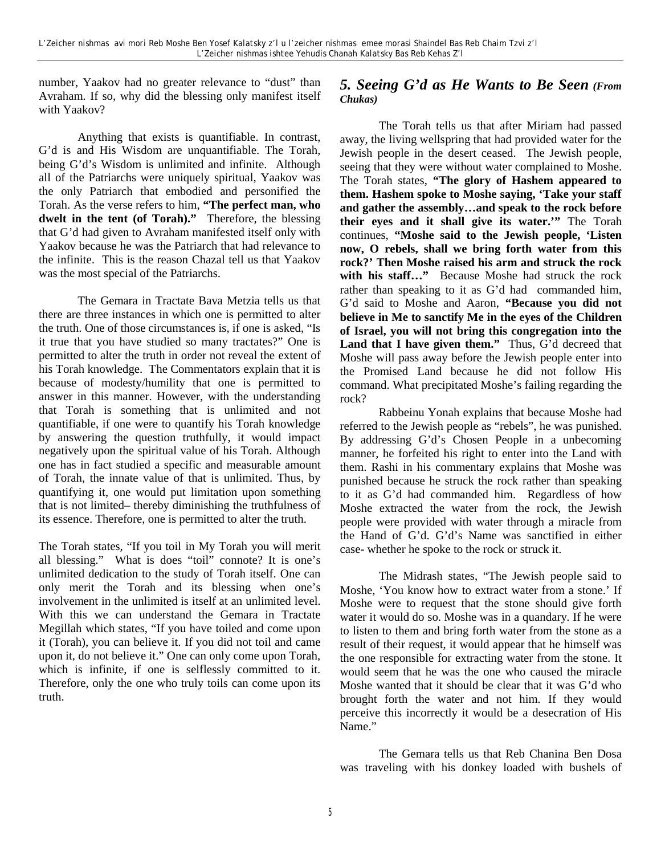number, Yaakov had no greater relevance to "dust" than Avraham. If so, why did the blessing only manifest itself with Yaakov?

Anything that exists is quantifiable. In contrast, G'd is and His Wisdom are unquantifiable. The Torah, being G'd's Wisdom is unlimited and infinite. Although all of the Patriarchs were uniquely spiritual, Yaakov was the only Patriarch that embodied and personified the Torah. As the verse refers to him, **"The perfect man, who dwelt in the tent (of Torah)."** Therefore, the blessing that G'd had given to Avraham manifested itself only with Yaakov because he was the Patriarch that had relevance to the infinite. This is the reason Chazal tell us that Yaakov was the most special of the Patriarchs.

The Gemara in Tractate Bava Metzia tells us that there are three instances in which one is permitted to alter the truth. One of those circumstances is, if one is asked, "Is it true that you have studied so many tractates?" One is permitted to alter the truth in order not reveal the extent of his Torah knowledge. The Commentators explain that it is because of modesty/humility that one is permitted to answer in this manner. However, with the understanding that Torah is something that is unlimited and not quantifiable, if one were to quantify his Torah knowledge by answering the question truthfully, it would impact negatively upon the spiritual value of his Torah. Although one has in fact studied a specific and measurable amount of Torah, the innate value of that is unlimited. Thus, by quantifying it, one would put limitation upon something that is not limited– thereby diminishing the truthfulness of its essence. Therefore, one is permitted to alter the truth.

The Torah states, "If you toil in My Torah you will merit all blessing." What is does "toil" connote? It is one's unlimited dedication to the study of Torah itself. One can only merit the Torah and its blessing when one's involvement in the unlimited is itself at an unlimited level. With this we can understand the Gemara in Tractate Megillah which states, "If you have toiled and come upon it (Torah), you can believe it. If you did not toil and came upon it, do not believe it." One can only come upon Torah, which is infinite, if one is selflessly committed to it. Therefore, only the one who truly toils can come upon its truth.

#### *5. Seeing G'd as He Wants to Be Seen (From Chukas)*

The Torah tells us that after Miriam had passed away, the living wellspring that had provided water for the Jewish people in the desert ceased. The Jewish people, seeing that they were without water complained to Moshe. The Torah states, **"The glory of Hashem appeared to them. Hashem spoke to Moshe saying, 'Take your staff and gather the assembly…and speak to the rock before their eyes and it shall give its water.'"** The Torah continues, **"Moshe said to the Jewish people, 'Listen now, O rebels, shall we bring forth water from this rock?' Then Moshe raised his arm and struck the rock**  with his staff..." Because Moshe had struck the rock rather than speaking to it as G'd had commanded him, G'd said to Moshe and Aaron, **"Because you did not believe in Me to sanctify Me in the eyes of the Children of Israel, you will not bring this congregation into the Land that I have given them."** Thus, G'd decreed that Moshe will pass away before the Jewish people enter into the Promised Land because he did not follow His command. What precipitated Moshe's failing regarding the rock?

Rabbeinu Yonah explains that because Moshe had referred to the Jewish people as "rebels", he was punished. By addressing G'd's Chosen People in a unbecoming manner, he forfeited his right to enter into the Land with them. Rashi in his commentary explains that Moshe was punished because he struck the rock rather than speaking to it as G'd had commanded him. Regardless of how Moshe extracted the water from the rock, the Jewish people were provided with water through a miracle from the Hand of G'd. G'd's Name was sanctified in either case- whether he spoke to the rock or struck it.

The Midrash states, "The Jewish people said to Moshe, 'You know how to extract water from a stone.' If Moshe were to request that the stone should give forth water it would do so. Moshe was in a quandary. If he were to listen to them and bring forth water from the stone as a result of their request, it would appear that he himself was the one responsible for extracting water from the stone. It would seem that he was the one who caused the miracle Moshe wanted that it should be clear that it was G'd who brought forth the water and not him. If they would perceive this incorrectly it would be a desecration of His Name."

The Gemara tells us that Reb Chanina Ben Dosa was traveling with his donkey loaded with bushels of